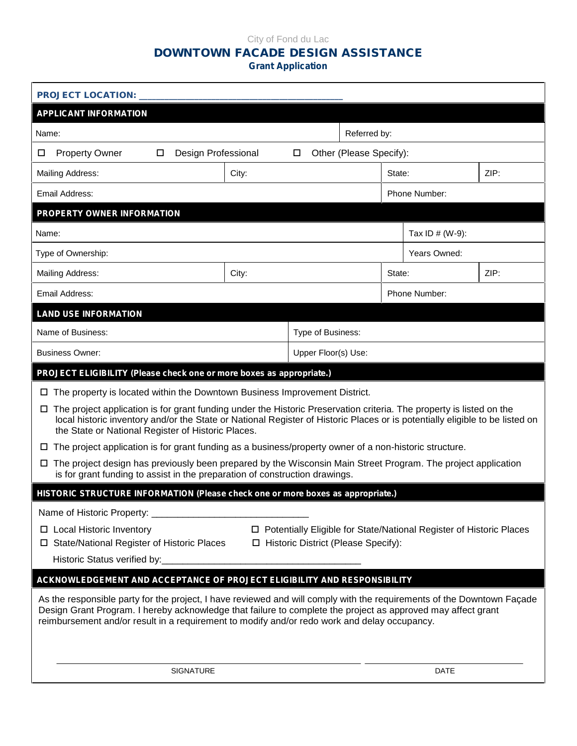### City of Fond du Lac **DOWNTOWN FACADE DESIGN ASSISTANCE Grant Application**

| <b>PROJECT LOCATION:</b>                                                                                                                                                                                                                                                                                                               |                     |  |             |                                                                       |  |      |
|----------------------------------------------------------------------------------------------------------------------------------------------------------------------------------------------------------------------------------------------------------------------------------------------------------------------------------------|---------------------|--|-------------|-----------------------------------------------------------------------|--|------|
| <b>APPLICANT INFORMATION</b>                                                                                                                                                                                                                                                                                                           |                     |  |             |                                                                       |  |      |
| Referred by:<br>Name:                                                                                                                                                                                                                                                                                                                  |                     |  |             |                                                                       |  |      |
| <b>Property Owner</b><br>Design Professional<br>Other (Please Specify):<br>$\Box$<br>$\Box$<br>□                                                                                                                                                                                                                                       |                     |  |             |                                                                       |  |      |
| <b>Mailing Address:</b><br>City:                                                                                                                                                                                                                                                                                                       |                     |  |             | State:                                                                |  | ZIP: |
| Email Address:                                                                                                                                                                                                                                                                                                                         |                     |  |             | Phone Number:                                                         |  |      |
| PROPERTY OWNER INFORMATION                                                                                                                                                                                                                                                                                                             |                     |  |             |                                                                       |  |      |
| Name:                                                                                                                                                                                                                                                                                                                                  |                     |  |             | Tax ID $# (W-9)$ :                                                    |  |      |
| Type of Ownership:                                                                                                                                                                                                                                                                                                                     |                     |  |             | Years Owned:                                                          |  |      |
| <b>Mailing Address:</b>                                                                                                                                                                                                                                                                                                                | City:               |  |             | State:                                                                |  | ZIP: |
| Email Address:                                                                                                                                                                                                                                                                                                                         |                     |  |             | Phone Number:                                                         |  |      |
| <b>LAND USE INFORMATION</b>                                                                                                                                                                                                                                                                                                            |                     |  |             |                                                                       |  |      |
| Name of Business:                                                                                                                                                                                                                                                                                                                      | Type of Business:   |  |             |                                                                       |  |      |
| <b>Business Owner:</b>                                                                                                                                                                                                                                                                                                                 | Upper Floor(s) Use: |  |             |                                                                       |  |      |
| PROJECT ELIGIBILITY (Please check one or more boxes as appropriate.)                                                                                                                                                                                                                                                                   |                     |  |             |                                                                       |  |      |
| The property is located within the Downtown Business Improvement District.<br>ப                                                                                                                                                                                                                                                        |                     |  |             |                                                                       |  |      |
| The project application is for grant funding under the Historic Preservation criteria. The property is listed on the<br>Ш.<br>local historic inventory and/or the State or National Register of Historic Places or is potentially eligible to be listed on<br>the State or National Register of Historic Places.                       |                     |  |             |                                                                       |  |      |
| The project application is for grant funding as a business/property owner of a non-historic structure.<br>⊔                                                                                                                                                                                                                            |                     |  |             |                                                                       |  |      |
| The project design has previously been prepared by the Wisconsin Main Street Program. The project application<br>$\Box$<br>is for grant funding to assist in the preparation of construction drawings.                                                                                                                                 |                     |  |             |                                                                       |  |      |
| HISTORIC STRUCTURE INFORMATION (Please check one or more boxes as appropriate.)                                                                                                                                                                                                                                                        |                     |  |             |                                                                       |  |      |
| Name of Historic Property: ___________________                                                                                                                                                                                                                                                                                         |                     |  |             |                                                                       |  |      |
| $\Box$ Local Historic Inventory<br>□ State/National Register of Historic Places<br>□ Historic District (Please Specify):                                                                                                                                                                                                               |                     |  |             | □ Potentially Eligible for State/National Register of Historic Places |  |      |
|                                                                                                                                                                                                                                                                                                                                        |                     |  |             |                                                                       |  |      |
| ACKNOWLEDGEMENT AND ACCEPTANCE OF PROJECT ELIGIBILITY AND RESPONSIBILITY                                                                                                                                                                                                                                                               |                     |  |             |                                                                       |  |      |
| As the responsible party for the project, I have reviewed and will comply with the requirements of the Downtown Façade<br>Design Grant Program. I hereby acknowledge that failure to complete the project as approved may affect grant<br>reimbursement and/or result in a requirement to modify and/or redo work and delay occupancy. |                     |  |             |                                                                       |  |      |
| SIGNATURE                                                                                                                                                                                                                                                                                                                              |                     |  | <b>DATE</b> |                                                                       |  |      |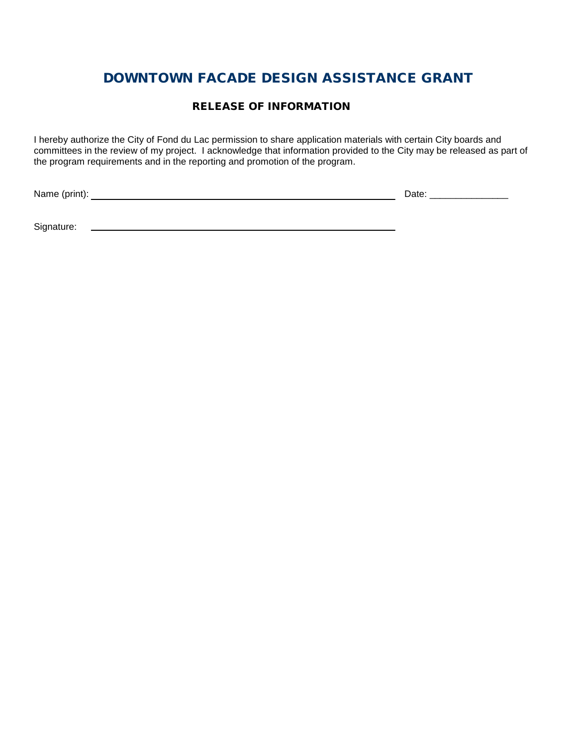#### **RELEASE OF INFORMATION**

I hereby authorize the City of Fond du Lac permission to share application materials with certain City boards and committees in the review of my project. I acknowledge that information provided to the City may be released as part of the program requirements and in the reporting and promotion of the program.

Name (print): Date: \_\_\_\_\_\_\_\_\_\_\_\_\_\_\_

Signature: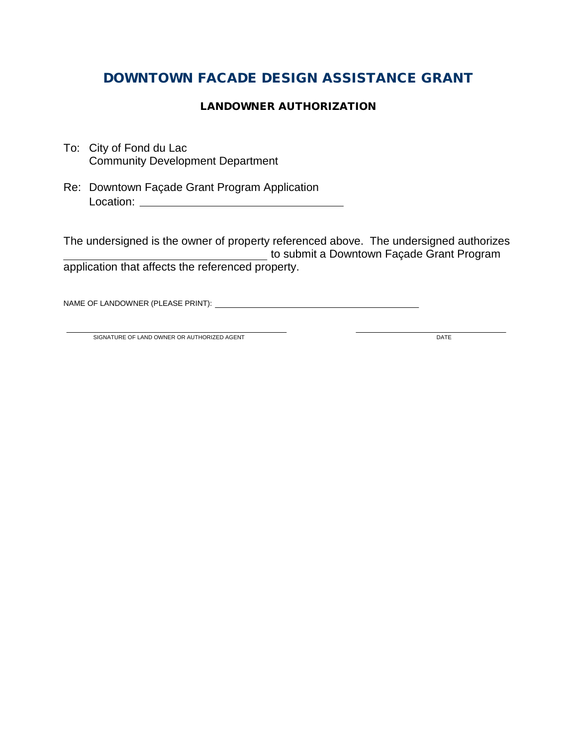### **LANDOWNER AUTHORIZATION**

- To: City of Fond du Lac Community Development Department
- Re: Downtown Façade Grant Program Application Location:

The undersigned is the owner of property referenced above. The undersigned authorizes to submit a Downtown Façade Grant Program application that affects the referenced property.

NAME OF LANDOWNER (PLEASE PRINT):

SIGNATURE OF LAND OWNER OR AUTHORIZED AGENT **Example 2008 DATE**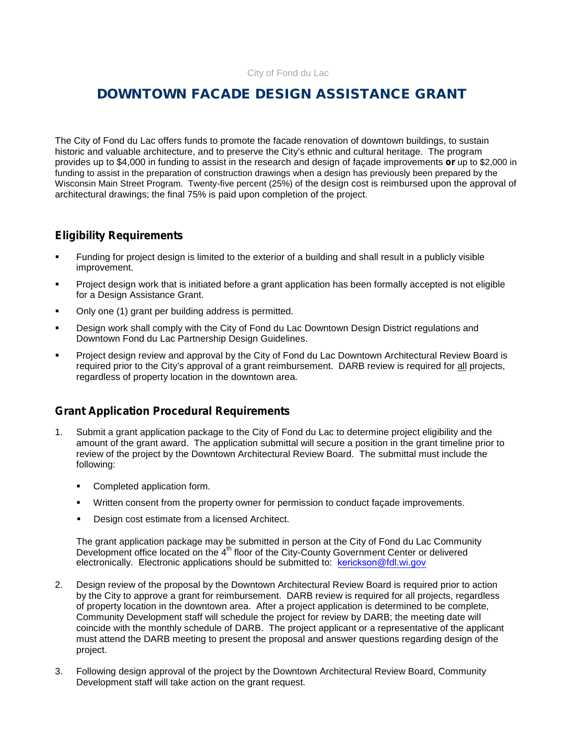The City of Fond du Lac offers funds to promote the facade renovation of downtown buildings, to sustain historic and valuable architecture, and to preserve the City's ethnic and cultural heritage. The program provides up to \$4,000 in funding to assist in the research and design of façade improvements **or** up to \$2,000 in funding to assist in the preparation of construction drawings when a design has previously been prepared by the Wisconsin Main Street Program. Twenty-five percent (25%) of the design cost is reimbursed upon the approval of architectural drawings; the final 75% is paid upon completion of the project.

### **Eligibility Requirements**

- Funding for project design is limited to the exterior of a building and shall result in a publicly visible improvement.
- **Project design work that is initiated before a grant application has been formally accepted is not eligible** for a Design Assistance Grant.
- Only one (1) grant per building address is permitted.
- Design work shall comply with the City of Fond du Lac Downtown Design District regulations and Downtown Fond du Lac Partnership Design Guidelines.
- Project design review and approval by the City of Fond du Lac Downtown Architectural Review Board is required prior to the City's approval of a grant reimbursement. DARB review is required for all projects, regardless of property location in the downtown area.

### **Grant Application Procedural Requirements**

- 1. Submit a grant application package to the City of Fond du Lac to determine project eligibility and the amount of the grant award. The application submittal will secure a position in the grant timeline prior to review of the project by the Downtown Architectural Review Board. The submittal must include the following:
	- **Completed application form.**
	- Written consent from the property owner for permission to conduct façade improvements.
	- **Design cost estimate from a licensed Architect.**

The grant application package may be submitted in person at the City of Fond du Lac Community Development office located on the 4<sup>th</sup> floor of the City-County Government Center or delivered Pesign cost estimate from a licensed Architect.<br>
The grant application package may be submitted in person at the City of Fond du La<br>
Development office located on the 4<sup>th</sup> floor of the City-County Government Center or<br>
e

- 2. Design review of the proposal by the Downtown Architectural Review Board is required prior to action by the City to approve a grant for reimbursement. DARB review is required for all projects, regardless of property location in the downtown area. After a project application is determined to be complete, Community Development staff will schedule the project for review by DARB; the meeting date will coincide with the monthly schedule of DARB. The project applicant or a representative of the applicant must attend the DARB meeting to present the proposal and answer questions regarding design of the project.
- 3. Following design approval of the project by the Downtown Architectural Review Board, Community Development staff will take action on the grant request.